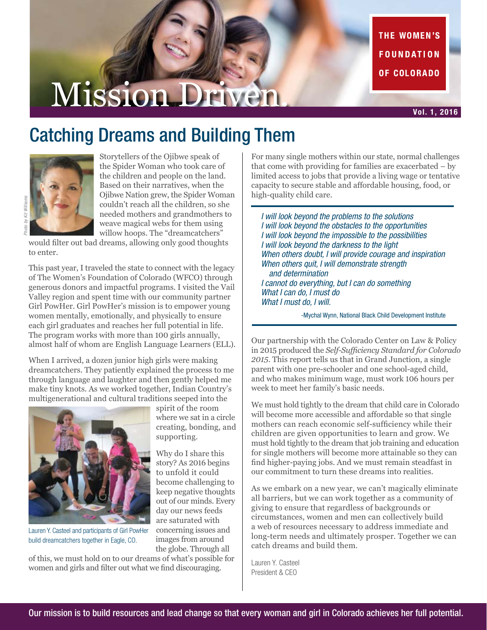THE WOMEN'S **FOUNDATION** OF COLORADO

# Mission Driven.

## Catching Dreams and Building Them



Storytellers of the Ojibwe speak of the Spider Woman who took care of the children and people on the land. Based on their narratives, when the Ojibwe Nation grew, the Spider Woman couldn't reach all the children, so she needed mothers and grandmothers to weave magical webs for them using willow hoops. The "dreamcatchers"

would filter out bad dreams, allowing only good thoughts to enter.

This past year, I traveled the state to connect with the legacy of The Women's Foundation of Colorado (WFCO) through generous donors and impactful programs. I visited the Vail Valley region and spent time with our community partner Girl PowHer. Girl PowHer's mission is to empower young women mentally, emotionally, and physically to ensure each girl graduates and reaches her full potential in life. The program works with more than 100 girls annually, almost half of whom are English Language Learners (ELL).

When I arrived, a dozen junior high girls were making dreamcatchers. They patiently explained the process to me through language and laughter and then gently helped me make tiny knots. As we worked together, Indian Country's multigenerational and cultural traditions seeped into the



Lauren Y. Casteel and participants of Girl PowHer build dreamcatchers together in Eagle, CO.

spirit of the room where we sat in a circle creating, bonding, and supporting.

Why do I share this story? As 2016 begins to unfold it could become challenging to keep negative thoughts out of our minds. Every day our news feeds are saturated with concerning issues and images from around the globe. Through all

of this, we must hold on to our dreams of what's possible for women and girls and filter out what we find discouraging.

For many single mothers within our state, normal challenges that come with providing for families are exacerbated – by limited access to jobs that provide a living wage or tentative capacity to secure stable and affordable housing, food, or high-quality child care.

*I will look beyond the problems to the solutions I will look beyond the obstacles to the opportunities I will look beyond the impossible to the possibilities I will look beyond the darkness to the light When others doubt, I will provide courage and inspiration When others quit, I will demonstrate strength and determination I cannot do everything, but I can do something What I can do, I must do What I must do, I will.* 

-Mychal Wynn, National Black Child Development Institute

Our partnership with the Colorado Center on Law & Policy in 2015 produced the *Self-Sufficiency Standard for Colorado 2015*. This report tells us that in Grand Junction, a single parent with one pre-schooler and one school-aged child, and who makes minimum wage, must work 106 hours per week to meet her family's basic needs.

We must hold tightly to the dream that child care in Colorado will become more accessible and affordable so that single mothers can reach economic self-sufficiency while their children are given opportunities to learn and grow. We must hold tightly to the dream that job training and education for single mothers will become more attainable so they can find higher-paying jobs. And we must remain steadfast in our commitment to turn these dreams into realities.

As we embark on a new year, we can't magically eliminate all barriers, but we can work together as a community of giving to ensure that regardless of backgrounds or circumstances, women and men can collectively build a web of resources necessary to address immediate and long-term needs and ultimately prosper. Together we can catch dreams and build them.

Lauren Y. Casteel President & CEO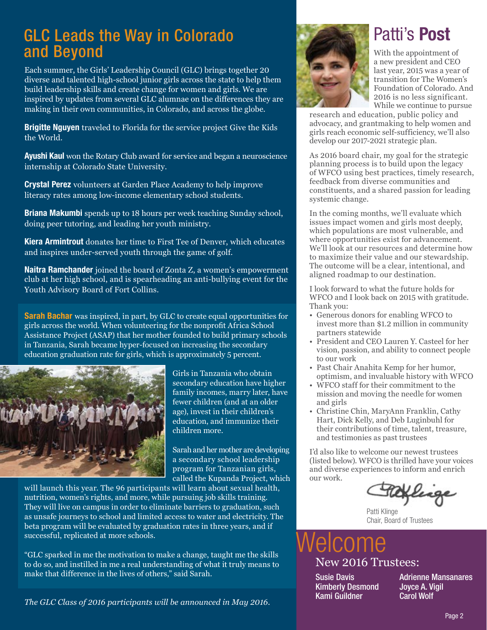## GLC Leads the Way in Colorado and Beyond

Each summer, the Girls' Leadership Council (GLC) brings together 20 diverse and talented high-school junior girls across the state to help them build leadership skills and create change for women and girls. We are inspired by updates from several GLC alumnae on the differences they are making in their own communities, in Colorado, and across the globe.

**Brigitte Nguyen** traveled to Florida for the service project Give the Kids the World.

**Ayushi Kaul** won the Rotary Club award for service and began a neuroscience internship at Colorado State University.

Crystal Perez volunteers at Garden Place Academy to help improve literacy rates among low-income elementary school students.

**Briana Makumbi** spends up to 18 hours per week teaching Sunday school, doing peer tutoring, and leading her youth ministry.

**Kiera Armintrout** donates her time to First Tee of Denver, which educates and inspires under-served youth through the game of golf.

**Naitra Ramchander** joined the board of Zonta Z, a women's empowerment club at her high school, and is spearheading an anti-bullying event for the Youth Advisory Board of Fort Collins.

**Sarah Bachar** was inspired, in part, by GLC to create equal opportunities for girls across the world. When volunteering for the nonprofit Africa School Assistance Project (ASAP) that her mother founded to build primary schools in Tanzania, Sarah became hyper-focused on increasing the secondary education graduation rate for girls, which is approximately 5 percent.



Girls in Tanzania who obtain secondary education have higher family incomes, marry later, have fewer children (and at an older age), invest in their children's education, and immunize their children more.

Sarah and her mother are developing a secondary school leadership program for Tanzanian girls, called the Kupanda Project, which

will launch this year. The 96 participants will learn about sexual health, nutrition, women's rights, and more, while pursuing job skills training. They will live on campus in order to eliminate barriers to graduation, such as unsafe journeys to school and limited access to water and electricity. The beta program will be evaluated by graduation rates in three years, and if successful, replicated at more schools.

"GLC sparked in me the motivation to make a change, taught me the skills to do so, and instilled in me a real understanding of what it truly means to make that difference in the lives of others," said Sarah.



## Patti's Post

With the appointment of a new president and CEO last year, 2015 was a year of transition for The Women's Foundation of Colorado. And 2016 is no less significant. While we continue to pursue

research and education, public policy and advocacy, and grantmaking to help women and girls reach economic self-sufficiency, we'll also develop our 2017-2021 strategic plan.

As 2016 board chair, my goal for the strategic planning process is to build upon the legacy of WFCO using best practices, timely research, feedback from diverse communities and constituents, and a shared passion for leading systemic change.

In the coming months, we'll evaluate which issues impact women and girls most deeply, which populations are most vulnerable, and where opportunities exist for advancement. We'll look at our resources and determine how to maximize their value and our stewardship. The outcome will be a clear, intentional, and aligned roadmap to our destination.

I look forward to what the future holds for WFCO and I look back on 2015 with gratitude. Thank you:

- Generous donors for enabling WFCO to invest more than \$1.2 million in community partners statewide
- President and CEO Lauren Y. Casteel for her vision, passion, and ability to connect people to our work
- Past Chair Anahita Kemp for her humor, optimism, and invaluable history with WFCO
- WFCO staff for their commitment to the mission and moving the needle for women and girls
- Christine Chin, MaryAnn Franklin, Cathy Hart, Dick Kelly, and Deb Luginbuhl for their contributions of time, talent, treasure, and testimonies as past trustees

I'd also like to welcome our newest trustees (listed below). WFCO is thrilled have your voices and diverse experiences to inform and enrich our work.

Patti Klinge Chair, Board of Trustees

## New 2016 Trustees: elcome

Susie Davis Kimberly Desmond Kami Guildner

Adrienne Mansanares Joyce A. Vigil Carol Wolf

*The GLC Class of 2016 participants will be announced in May 2016.*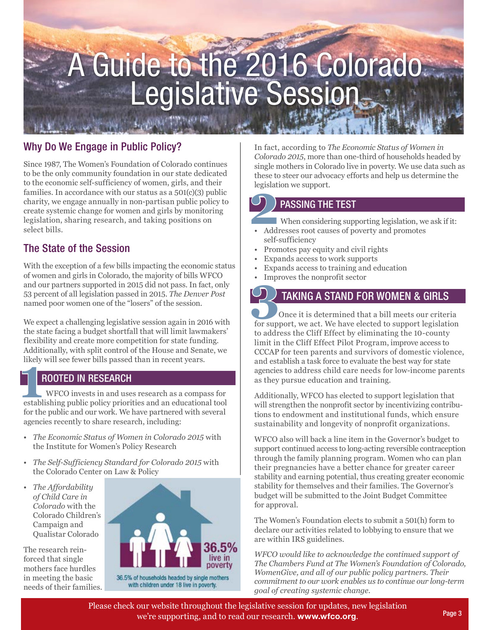# A Guide to the 2016 Colorado Legislative Session

#### Why Do We Engage in Public Policy?

Since 1987, The Women's Foundation of Colorado continues to be the only community foundation in our state dedicated to the economic self-sufficiency of women, girls, and their families. In accordance with our status as a 501(c)(3) public charity, we engage annually in non-partisan public policy to create systemic change for women and girls by monitoring legislation, sharing research, and taking positions on select bills.

#### The State of the Session

With the exception of a few bills impacting the economic status of women and girls in Colorado, the majority of bills WFCO and our partners supported in 2015 did not pass. In fact, only 53 percent of all legislation passed in 2015. *The Denver Post* named poor women one of the "losers" of the session.

We expect a challenging legislative session again in 2016 with the state facing a budget shortfall that will limit lawmakers' flexibility and create more competition for state funding. Additionally, with split control of the House and Senate, we likely will see fewer bills passed than in recent years.

#### ROOTED IN RESEARCH

**11 Example 18 Follows 11 Example 18 Followsky WIFCO invests in and uses research as a compass for establishing public policy priorities and an educational tool**  WFCO invests in and uses research as a compass for for the public and our work. We have partnered with several agencies recently to share research, including:

- *The Economic Status of Women in Colorado 2015* with the Institute for Women's Policy Research
- *The Self-Sufficiency Standard for Colorado 2015* with the Colorado Center on Law & Policy
- *The Affordability of Child Care in Colorado* with the Colorado Children's Campaign and Qualistar Colorado

The research reinforced that single mothers face hurdles in meeting the basic needs of their families.



with children under 18 live in poverty.

In fact, according to *The Economic Status of Women in Colorado 2015*, more than one-third of households headed by single mothers in Colorado live in poverty. We use data such as these to steer our advocacy efforts and help us determine the legislation we support.

#### PASSING THE TEST

**2**<br> **1**<br> **1**<br> **1**<br> **1**<br> **1**<br> **1**<br> **1** When considering supporting legislation, we ask if it:

- Addresses root causes of poverty and promotes self-sufficiency
- Promotes pay equity and civil rights
- Expands access to work supports
- Expands access to training and education
- Improves the nonprofit sector

### TAKING A STAND FOR WOMEN & GIRLS

**3**<br>**3 12 TAKING A STAND FOR WOMEN & GIRLS**<br>Once it is determined that a bill meets our criteria<br>for support, we act. We have elected to support legislation Once it is determined that a bill meets our criteria to address the Cliff Effect by eliminating the 10-county limit in the Cliff Effect Pilot Program, improve access to CCCAP for teen parents and survivors of domestic violence, and establish a task force to evaluate the best way for state agencies to address child care needs for low-income parents as they pursue education and training.

Additionally, WFCO has elected to support legislation that will strengthen the nonprofit sector by incentivizing contributions to endowment and institutional funds, which ensure sustainability and longevity of nonprofit organizations.

WFCO also will back a line item in the Governor's budget to support continued access to long-acting reversible contraception through the family planning program. Women who can plan their pregnancies have a better chance for greater career stability and earning potential, thus creating greater economic stability for themselves and their families. The Governor's budget will be submitted to the Joint Budget Committee for approval.

The Women's Foundation elects to submit a 501(h) form to declare our activities related to lobbying to ensure that we are within IRS guidelines.

*WFCO would like to acknowledge the continued support of The Chambers Fund at The Women's Foundation of Colorado, WomenGive, and all of our public policy partners. Their commitment to our work enables us to continue our long-term goal of creating systemic change.*

Please check our website throughout the legislative session for updates, new legislation we're supporting, and to read our research. www.wfco.org.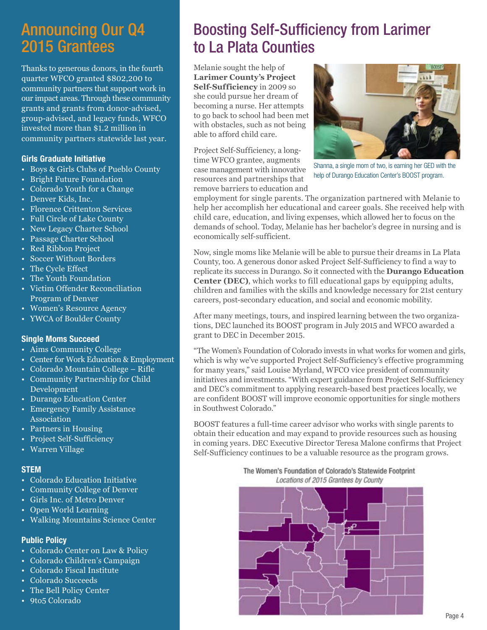## Announcing Our Q4 2015 Grantees

Thanks to generous donors, in the fourth quarter WFCO granted \$802,200 to community partners that support work in our impact areas. Through these community grants and grants from donor-advised, group-advised, and legacy funds, WFCO invested more than \$1.2 million in community partners statewide last year.

#### Girls Graduate Initiative

- Boys & Girls Clubs of Pueblo County
- Bright Future Foundation
- Colorado Youth for a Change
- Denver Kids, Inc.
- Florence Crittenton Services
- Full Circle of Lake County
- New Legacy Charter School
- Passage Charter School
- Red Ribbon Project
- Soccer Without Borders
- The Cycle Effect
- The Youth Foundation
- Victim Offender Reconciliation Program of Denver
- Women's Resource Agency
- YWCA of Boulder County

#### Single Moms Succeed

- Aims Community College
- Center for Work Education & Employment
- Colorado Mountain College Rifle
- Community Partnership for Child Development
- Durango Education Center
- Emergency Family Assistance Association
- Partners in Housing
- Project Self-Sufficiency
- Warren Village

#### **STEM**

- Colorado Education Initiative
- Community College of Denver
- Girls Inc. of Metro Denver
- Open World Learning
- Walking Mountains Science Center

#### Public Policy

- Colorado Center on Law & Policy
- Colorado Children's Campaign
- Colorado Fiscal Institute
- Colorado Succeeds
- The Bell Policy Center
- 9to5 Colorado

## Boosting Self-Sufficiency from Larimer to La Plata Counties

Melanie sought the help of **Larimer County's Project Self-Sufficiency** in 2009 so she could pursue her dream of becoming a nurse. Her attempts to go back to school had been met with obstacles, such as not being able to afford child care.

Project Self-Sufficiency, a longtime WFCO grantee, augments case management with innovative resources and partnerships that remove barriers to education and



Shanna, a single mom of two, is earning her GED with the help of Durango Education Center's BOOST program.

employment for single parents. The organization partnered with Melanie to help her accomplish her educational and career goals. She received help with child care, education, and living expenses, which allowed her to focus on the demands of school. Today, Melanie has her bachelor's degree in nursing and is economically self-sufficient.

Now, single moms like Melanie will be able to pursue their dreams in La Plata County, too. A generous donor asked Project Self-Sufficiency to find a way to replicate its success in Durango. So it connected with the **Durango Education Center (DEC)**, which works to fill educational gaps by equipping adults, children and families with the skills and knowledge necessary for 21st century careers, post-secondary education, and social and economic mobility.

After many meetings, tours, and inspired learning between the two organizations, DEC launched its BOOST program in July 2015 and WFCO awarded a grant to DEC in December 2015.

"The Women's Foundation of Colorado invests in what works for women and girls, which is why we've supported Project Self-Sufficiency's effective programming for many years," said Louise Myrland, WFCO vice president of community initiatives and investments. "With expert guidance from Project Self-Sufficiency and DEC's commitment to applying research-based best practices locally, we are confident BOOST will improve economic opportunities for single mothers in Southwest Colorado."

BOOST features a full-time career advisor who works with single parents to obtain their education and may expand to provide resources such as housing in coming years. DEC Executive Director Teresa Malone confirms that Project Self-Sufficiency continues to be a valuable resource as the program grows.

The Women's Foundation of Colorado's Statewide Footprint Locations of 2015 Grantees by County

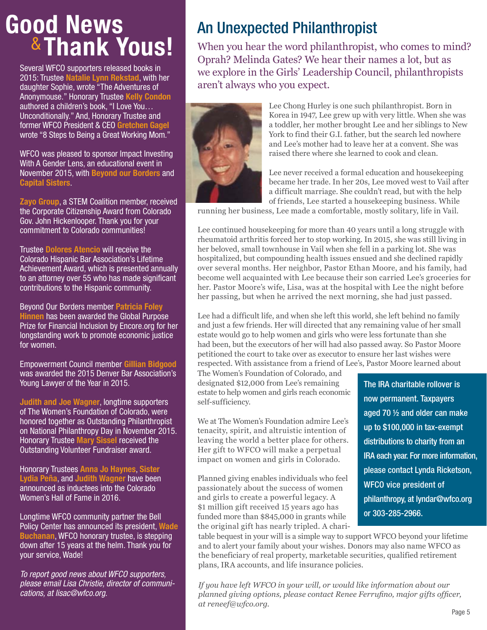# Good News &Thank Yous!

Several WFCO supporters released books in 2015: Trustee Natalie Lynn Rekstad, with her daughter Sophie, wrote "The Adventures of Anonymouse." Honorary Trustee Kelly Condon authored a children's book, "I Love You… Unconditionally." And, Honorary Trustee and former WFCO President & CEO Gretchen Gagel wrote "8 Steps to Being a Great Working Mom."

WFCO was pleased to sponsor Impact Investing With A Gender Lens, an educational event in November 2015, with Beyond our Borders and Capital Sisters.

Zayo Group, a STEM Coalition member, received the Corporate Citizenship Award from Colorado Gov. John Hickenlooper. Thank you for your commitment to Colorado communities!

Trustee Dolores Atencio will receive the Colorado Hispanic Bar Association's Lifetime Achievement Award, which is presented annually to an attorney over 55 who has made significant contributions to the Hispanic community.

Beyond Our Borders member Patricia Foley Hinnen has been awarded the Global Purpose Prize for Financial Inclusion by Encore.org for her longstanding work to promote economic justice for women.

Empowerment Council member Gillian Bidgood was awarded the 2015 Denver Bar Association's Young Lawyer of the Year in 2015.

Judith and Joe Wagner, longtime supporters of The Women's Foundation of Colorado, were honored together as Outstanding Philanthropist on National Philanthropy Day in November 2015. Honorary Trustee Mary Sissel received the Outstanding Volunteer Fundraiser award.

Honorary Trustees Anna Jo Haynes, Sister Lydia Peña, and Judith Wagner have been announced as inductees into the Colorado Women's Hall of Fame in 2016.

Longtime WFCO community partner the Bell Policy Center has announced its president, Wade Buchanan, WFCO honorary trustee, is stepping down after 15 years at the helm. Thank you for your service, Wade!

*To report good news about WFCO supporters, please email Lisa Christie, director of communications, at lisac@wfco.org.* 

## An Unexpected Philanthropist

When you hear the word philanthropist, who comes to mind? Oprah? Melinda Gates? We hear their names a lot, but as we explore in the Girls' Leadership Council, philanthropists aren't always who you expect.



Lee Chong Hurley is one such philanthropist. Born in Korea in 1947, Lee grew up with very little. When she was a toddler, her mother brought Lee and her siblings to New York to find their G.I. father, but the search led nowhere and Lee's mother had to leave her at a convent. She was raised there where she learned to cook and clean.

Lee never received a formal education and housekeeping became her trade. In her 20s, Lee moved west to Vail after a difficult marriage. She couldn't read, but with the help of friends, Lee started a housekeeping business. While

running her business, Lee made a comfortable, mostly solitary, life in Vail.

Lee continued housekeeping for more than 40 years until a long struggle with rheumatoid arthritis forced her to stop working. In 2015, she was still living in her beloved, small townhouse in Vail when she fell in a parking lot. She was hospitalized, but compounding health issues ensued and she declined rapidly over several months. Her neighbor, Pastor Ethan Moore, and his family, had become well acquainted with Lee because their son carried Lee's groceries for her. Pastor Moore's wife, Lisa, was at the hospital with Lee the night before her passing, but when he arrived the next morning, she had just passed.

Lee had a difficult life, and when she left this world, she left behind no family and just a few friends. Her will directed that any remaining value of her small estate would go to help women and girls who were less fortunate than she had been, but the executors of her will had also passed away. So Pastor Moore petitioned the court to take over as executor to ensure her last wishes were respected. With assistance from a friend of Lee's, Pastor Moore learned about

The Women's Foundation of Colorado, and designated \$12,000 from Lee's remaining estate to help women and girls reach economic self-sufficiency.

We at The Women's Foundation admire Lee's tenacity, spirit, and altruistic intention of leaving the world a better place for others. Her gift to WFCO will make a perpetual impact on women and girls in Colorado.

Planned giving enables individuals who feel passionately about the success of women and girls to create a powerful legacy. A \$1 million gift received 15 years ago has funded more than \$845,000 in grants while the original gift has nearly tripled. A chari-

The IRA charitable rollover is now permanent. Taxpayers aged 70 ½ and older can make up to \$100,000 in tax-exempt distributions to charity from an IRA each year. For more information, please contact Lynda Ricketson, WFCO vice president of philanthropy, at lyndar@wfco.org or 303-285-2966.

table bequest in your will is a simple way to support WFCO beyond your lifetime and to alert your family about your wishes. Donors may also name WFCO as the beneficiary of real property, marketable securities, qualified retirement plans, IRA accounts, and life insurance policies.

*If you have left WFCO in your will, or would like information about our planned giving options, please contact Renee Ferrufino, major gifts officer, at reneef@wfco.org.*